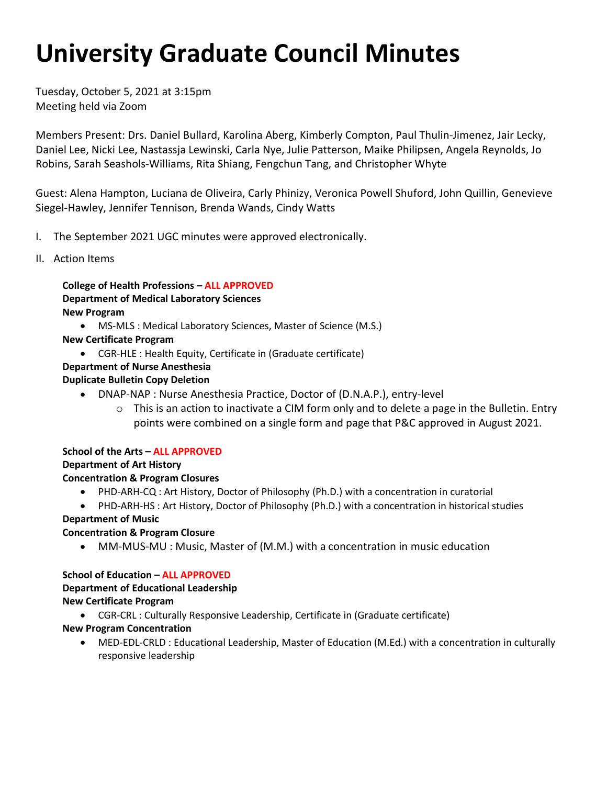# **University Graduate Council Minutes**

Tuesday, October 5, 2021 at 3:15pm Meeting held via Zoom

 Daniel Lee, Nicki Lee, Nastassja Lewinski, Carla Nye, Julie Patterson, Maike Philipsen, Angela Reynolds, Jo Members Present: Drs. Daniel Bullard, Karolina Aberg, Kimberly Compton, Paul Thulin-Jimenez, Jair Lecky, Robins, Sarah Seashols-Williams, Rita Shiang, Fengchun Tang, and Christopher Whyte

Guest: Alena Hampton, Luciana de Oliveira, Carly Phinizy, Veronica Powell Shuford, John Quillin, Genevieve Siegel-Hawley, Jennifer Tennison, Brenda Wands, Cindy Watts

- I. The September 2021 UGC minutes were approved electronically.
- II. Action Items

**College of Health Professions – ALL APPROVED Department of Medical Laboratory Sciences New Program** 

- MS-MLS : Medical Laboratory Sciences, Master of Science (M.S.)
- **New Certificate Program** 
	- CGR-HLE : Health Equity, Certificate in (Graduate certificate)

# **Department of Nurse Anesthesia**

# **Duplicate Bulletin Copy Deletion**

- • DNAP-NAP : Nurse Anesthesia Practice, Doctor of (D.N.A.P.), entry-level
	- o This is an action to inactivate a CIM form only and to delete a page in the Bulletin. Entry points were combined on a single form and page that P&C approved in August 2021.

# **School of the Arts – ALL APPROVED**

# **Department of Art History**

# **Concentration & Program Closures**

- PHD-ARH-CQ : Art History, Doctor of Philosophy (Ph.D.) with a concentration in curatorial
- PHD-ARH-HS : Art History, Doctor of Philosophy (Ph.D.) with a concentration in historical studies

# **Department of Music**

# **Concentration & Program Closure**

• MM-MUS-MU : Music, Master of (M.M.) with a concentration in music education

**School of Education – ALL APPROVED Department of Educational Leadership New Certificate Program** 

• CGR-CRL : Culturally Responsive Leadership, Certificate in (Graduate certificate)

# **New Program Concentration**

• MED-EDL-CRLD : Educational Leadership, Master of Education (M.Ed.) with a concentration in culturally responsive leadership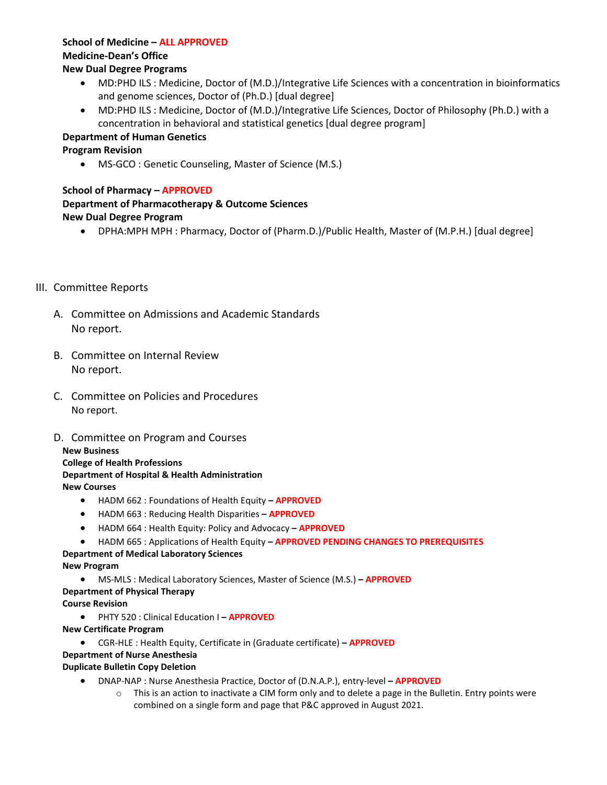# **School of Medicine – ALL APPROVED**

# **Medicine-Dean's Office**

# **New Dual Degree Programs**

- • MD:PHD ILS : Medicine, Doctor of (M.D.)/Integrative Life Sciences with a concentration in bioinformatics and genome sciences, Doctor of (Ph.D.) [dual degree]
- • MD:PHD ILS : Medicine, Doctor of (M.D.)/Integrative Life Sciences, Doctor of Philosophy (Ph.D.) with a concentration in behavioral and statistical genetics [dual degree program]

# **Department of Human Genetics**

# **Program Revision**

• MS-GCO : Genetic Counseling, Master of Science (M.S.)

# **School of Pharmacy – APPROVED**

# **Department of Pharmacotherapy & Outcome Sciences New Dual Degree Program**

• DPHA:MPH MPH : Pharmacy, Doctor of (Pharm.D.)/Public Health, Master of (M.P.H.) [dual degree]

# III. Committee Reports

- A. Committee on Admissions and Academic Standards No report.
- B. Committee on Internal Review No report.
- C. Committee on Policies and Procedures No report.
- D. Committee on Program and Courses

# **New Business**

#### **College of Health Professions Department of Hospital & Health Administration New Courses**

- HADM 662 : Foundations of Health Equity  **APPROVED**
- HADM 663 : Reducing Health Disparities  **APPROVED**
- HADM 664 : Health Equity: Policy and Advocacy  **APPROVED**
- HADM 665 : Applications of Health Equity  **APPROVED PENDING CHANGES TO PREREQUISITES**

# **Department of Medical Laboratory Sciences**

# **New Program**

• MS-MLS : Medical Laboratory Sciences, Master of Science (M.S.) **– APPROVED** 

# **Department of Physical Therapy**

- **Course Revision** 
	- PHTY 520 : Clinical Education I  **APPROVED**
- **New Certificate Program** 
	- CGR-HLE : Health Equity, Certificate in (Graduate certificate)  **APPROVED**

# **Department of Nurse Anesthesia**

# **Duplicate Bulletin Copy Deletion**

- DNAP-NAP : Nurse Anesthesia Practice, Doctor of (D.N.A.P.), entry-level  **APPROVED** 
	- $\circ$  This is an action to inactivate a CIM form only and to delete a page in the Bulletin. Entry points were combined on a single form and page that P&C approved in August 2021.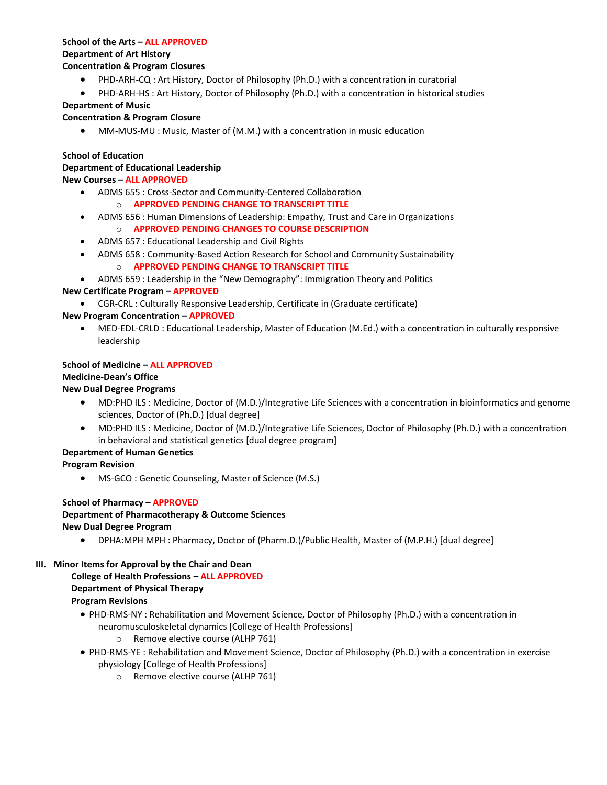# **School of the Arts – ALL APPROVED Department of Art History**

#### **Concentration & Program Closures**

- PHD-ARH-CQ : Art History, Doctor of Philosophy (Ph.D.) with a concentration in curatorial
- PHD-ARH-HS : Art History, Doctor of Philosophy (Ph.D.) with a concentration in historical studies

#### **Department of Music**

#### **Concentration & Program Closure**

• MM-MUS-MU : Music, Master of (M.M.) with a concentration in music education

#### **School of Education**

# **Department of Educational Leadership**

#### **New Courses – ALL APPROVED**

- ADMS 655 : Cross-Sector and Community-Centered Collaboration
	- o **APPROVED PENDING CHANGE TO TRANSCRIPT TITLE**
- ADMS 656 : Human Dimensions of Leadership: Empathy, Trust and Care in Organizations o **APPROVED PENDING CHANGES TO COURSE DESCRIPTION**
- ADMS 657 : Educational Leadership and Civil Rights
- ADMS 658 : Community-Based Action Research for School and Community Sustainability o **APPROVED PENDING CHANGE TO TRANSCRIPT TITLE**
- ADMS 659 : Leadership in the "New Demography": Immigration Theory and Politics

### **New Certificate Program – APPROVED**

• CGR-CRL : Culturally Responsive Leadership, Certificate in (Graduate certificate)

### **New Program Concentration – APPROVED**

• MED-EDL-CRLD : Educational Leadership, Master of Education (M.Ed.) with a concentration in culturally responsive leadership

#### **School of Medicine – ALL APPROVED**

#### **Medicine-Dean's Office**

#### **New Dual Degree Programs**

- MD:PHD ILS : Medicine, Doctor of (M.D.)/Integrative Life Sciences with a concentration in bioinformatics and genome sciences, Doctor of (Ph.D.) [dual degree]
- MD:PHD ILS : Medicine, Doctor of (M.D.)/Integrative Life Sciences, Doctor of Philosophy (Ph.D.) with a concentration in behavioral and statistical genetics [dual degree program]

# **Department of Human Genetics**

#### **Program Revision**

• MS-GCO : Genetic Counseling, Master of Science (M.S.)

#### **School of Pharmacy – APPROVED**

#### **Department of Pharmacotherapy & Outcome Sciences New Dual Degree Program**

• DPHA:MPH MPH : Pharmacy, Doctor of (Pharm.D.)/Public Health, Master of (M.P.H.) [dual degree]

#### **III. Minor Items for Approval by the Chair and Dean**

#### **College of Health Professions – ALL APPROVED Department of Physical Therapy Program Revisions**

- PHD-RMS-NY : Rehabilitation and Movement Science, Doctor of Philosophy (Ph.D.) with a concentration in neuromusculoskeletal dynamics [College of Health Professions]
	- o Remove elective course (ALHP 761)
- PHD-RMS-YE : Rehabilitation and Movement Science, Doctor of Philosophy (Ph.D.) with a concentration in exercise physiology [College of Health Professions]
	- o Remove elective course (ALHP 761)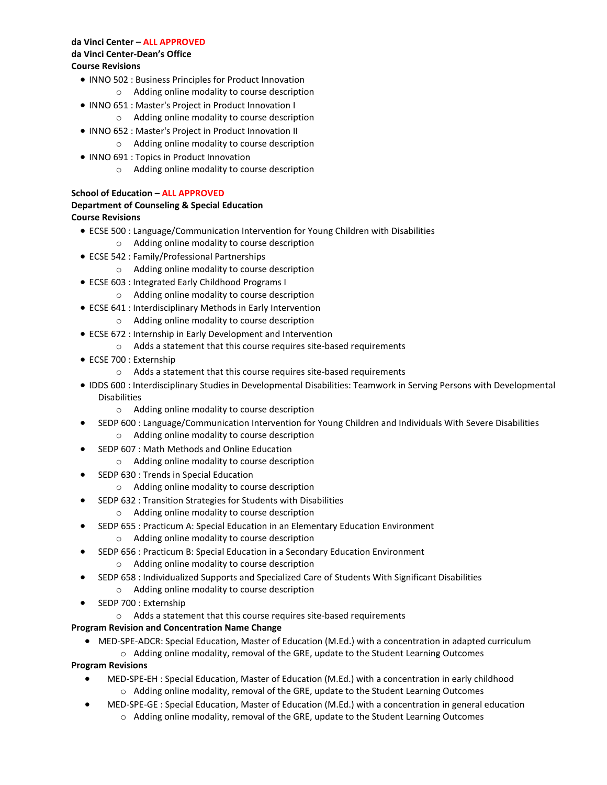#### **da Vinci Center – ALL APPROVED da Vinci Center-Dean's Office Course Revisions**

- INNO 502 : Business Principles for Product Innovation o Adding online modality to course description
- INNO 651 : Master's Project in Product Innovation I
	- o Adding online modality to course description
- INNO 652 : Master's Project in Product Innovation II o Adding online modality to course description
- INNO 691 : Topics in Product Innovation
	- o Adding online modality to course description

#### **School of Education – ALL APPROVED**

#### **Department of Counseling & Special Education**

#### **Course Revisions**

- ECSE 500 : Language/Communication Intervention for Young Children with Disabilities o Adding online modality to course description
- ECSE 542 : Family/Professional Partnerships
	- o Adding online modality to course description
- ECSE 603 : Integrated Early Childhood Programs I
	- o Adding online modality to course description
- ECSE 641 : Interdisciplinary Methods in Early Intervention
	- o Adding online modality to course description
- ECSE 672 : Internship in Early Development and Intervention
	- o Adds a statement that this course requires site-based requirements
- ECSE 700 : Externship
	- o Adds a statement that this course requires site-based requirements
- IDDS 600 : Interdisciplinary Studies in Developmental Disabilities: Teamwork in Serving Persons with Developmental Disabilities
	- o Adding online modality to course description
- SEDP 600 : Language/Communication Intervention for Young Children and Individuals With Severe Disabilities o Adding online modality to course description
- SEDP 607 : Math Methods and Online Education
	- o Adding online modality to course description
- SEDP 630 : Trends in Special Education
	- o Adding online modality to course description
- SEDP 632 : Transition Strategies for Students with Disabilities
	- o Adding online modality to course description
- SEDP 655 : Practicum A: Special Education in an Elementary Education Environment
	- o Adding online modality to course description
- SEDP 656 : Practicum B: Special Education in a Secondary Education Environment
	- o Adding online modality to course description
- SEDP 658 : Individualized Supports and Specialized Care of Students With Significant Disabilities
	- o Adding online modality to course description
- SEDP 700 : Externship
	- o Adds a statement that this course requires site-based requirements

#### **Program Revision and Concentration Name Change**

• MED-SPE-ADCR: Special Education, Master of Education (M.Ed.) with a concentration in adapted curriculum o Adding online modality, removal of the GRE, update to the Student Learning Outcomes

**Program Revisions** 

- MED-SPE-EH : Special Education, Master of Education (M.Ed.) with a concentration in early childhood o Adding online modality, removal of the GRE, update to the Student Learning Outcomes
- MED-SPE-GE : Special Education, Master of Education (M.Ed.) with a concentration in general education
	- $\circ$  Adding online modality, removal of the GRE, update to the Student Learning Outcomes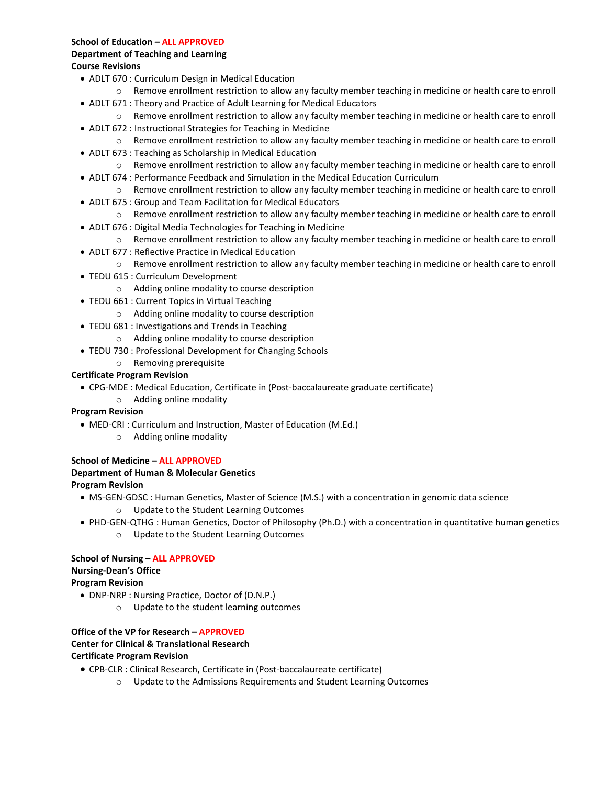#### **School of Education – ALL APPROVED**

#### **Department of Teaching and Learning Course Revisions**

- ADLT 670 : Curriculum Design in Medical Education
- o Remove enrollment restriction to allow any faculty member teaching in medicine or health care to enroll • ADLT 671 : Theory and Practice of Adult Learning for Medical Educators
	- o Remove enrollment restriction to allow any faculty member teaching in medicine or health care to enroll
- ADLT 672 : Instructional Strategies for Teaching in Medicine
- o Remove enrollment restriction to allow any faculty member teaching in medicine or health care to enroll • ADLT 673 : Teaching as Scholarship in Medical Education
- o Remove enrollment restriction to allow any faculty member teaching in medicine or health care to enroll • ADLT 674 : Performance Feedback and Simulation in the Medical Education Curriculum
- o Remove enrollment restriction to allow any faculty member teaching in medicine or health care to enroll
- ADLT 675 : Group and Team Facilitation for Medical Educators
	- o Remove enrollment restriction to allow any faculty member teaching in medicine or health care to enroll
- ADLT 676 : Digital Media Technologies for Teaching in Medicine
	- o Remove enrollment restriction to allow any faculty member teaching in medicine or health care to enroll
- ADLT 677 : Reflective Practice in Medical Education
	- o Remove enrollment restriction to allow any faculty member teaching in medicine or health care to enroll
- TEDU 615 : Curriculum Development
	- o Adding online modality to course description
- • TEDU 661 : Current Topics in Virtual Teaching
	- o Adding online modality to course description
- TEDU 681 : Investigations and Trends in Teaching
	- o Adding online modality to course description
- TEDU 730 : Professional Development for Changing Schools
	- o Removing prerequisite

#### **Certificate Program Revision**

- CPG-MDE : Medical Education, Certificate in (Post-baccalaureate graduate certificate)
	- o Adding online modality

#### **Program Revision**

- MED-CRI : Curriculum and Instruction, Master of Education (M.Ed.)
	- o Adding online modality

# **School of Medicine – ALL APPROVED**

# **Department of Human & Molecular Genetics**

#### **Program Revision**

- • MS-GEN-GDSC : Human Genetics, Master of Science (M.S.) with a concentration in genomic data science o Update to the Student Learning Outcomes
- PHD-GEN-QTHG : Human Genetics, Doctor of Philosophy (Ph.D.) with a concentration in quantitative human genetics o Update to the Student Learning Outcomes

# **School of Nursing – ALL APPROVED Nursing-Dean's Office**

### **Program Revision**

- DNP-NRP : Nursing Practice, Doctor of (D.N.P.)
	- o Update to the student learning outcomes

#### **Office of the VP for Research – APPROVED**

#### **Center for Clinical & Translational Research**

#### **Certificate Program Revision**

- CPB-CLR : Clinical Research, Certificate in (Post-baccalaureate certificate)
	- o Update to the Admissions Requirements and Student Learning Outcomes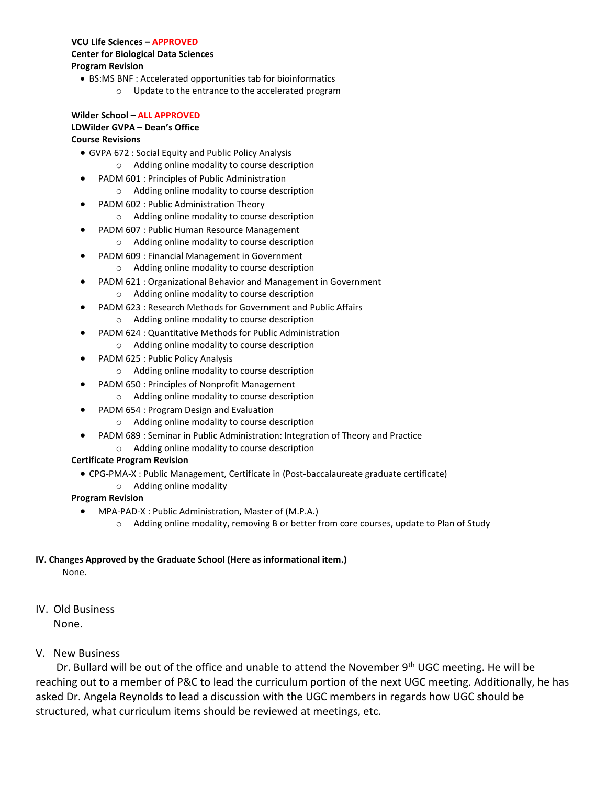#### **VCU Life Sciences – APPROVED Center for Biological Data Sciences Program Revision**

- BS:MS BNF : Accelerated opportunities tab for bioinformatics
	- o Update to the entrance to the accelerated program

# **Wilder School – ALL APPROVED**

#### **LDWilder GVPA – Dean's Office**

#### **Course Revisions**

- GVPA 672 : Social Equity and Public Policy Analysis
	- o Adding online modality to course description
- PADM 601 : Principles of Public Administration o Adding online modality to course description
- PADM 602 : Public Administration Theory
	- o Adding online modality to course description
- PADM 607 : Public Human Resource Management
	- o Adding online modality to course description
- PADM 609 : Financial Management in Government
	- o Adding online modality to course description
- PADM 621 : Organizational Behavior and Management in Government o Adding online modality to course description
- PADM 623 : Research Methods for Government and Public Affairs
	- o Adding online modality to course description
- PADM 624 : Quantitative Methods for Public Administration
	- o Adding online modality to course description
- PADM 625 : Public Policy Analysis
	- o Adding online modality to course description
- PADM 650 : Principles of Nonprofit Management
	- o Adding online modality to course description
- PADM 654 : Program Design and Evaluation
	- o Adding online modality to course description
- PADM 689 : Seminar in Public Administration: Integration of Theory and Practice
	- o Adding online modality to course description

#### **Certificate Program Revision**

• CPG-PMA-X : Public Management, Certificate in (Post-baccalaureate graduate certificate) o Adding online modality

# **Program Revision**

- MPA-PAD-X : Public Administration, Master of (M.P.A.)
	- o Adding online modality, removing B or better from core courses, update to Plan of Study

#### **IV. Changes Approved by the Graduate School (Here as informational item.)**

None.

# IV. Old Business

None.

# V. New Business

 asked Dr. Angela Reynolds to lead a discussion with the UGC members in regards how UGC should be Dr. Bullard will be out of the office and unable to attend the November 9<sup>th</sup> UGC meeting. He will be reaching out to a member of P&C to lead the curriculum portion of the next UGC meeting. Additionally, he has structured, what curriculum items should be reviewed at meetings, etc.